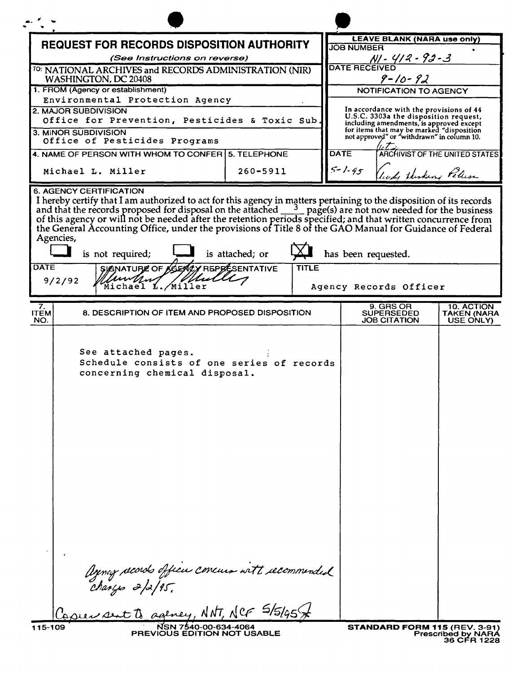| <b>REQUEST FOR RECORDS DISPOSITION AUTHORITY</b>                       |                                                                                                                                                                                                                                                                                                                                     |                                 |                                                                                         | <b>LEAVE BLANK (NARA use only)</b><br><b>JOB NUMBER</b>                                                                      |                                 |  |
|------------------------------------------------------------------------|-------------------------------------------------------------------------------------------------------------------------------------------------------------------------------------------------------------------------------------------------------------------------------------------------------------------------------------|---------------------------------|-----------------------------------------------------------------------------------------|------------------------------------------------------------------------------------------------------------------------------|---------------------------------|--|
|                                                                        | (See Instructions on reverse)                                                                                                                                                                                                                                                                                                       |                                 |                                                                                         |                                                                                                                              |                                 |  |
| <sup>TO:</sup> NATIONAL ARCHIVES and RECORDS ADMINISTRATION (NIR)      |                                                                                                                                                                                                                                                                                                                                     |                                 |                                                                                         | 1. 1912 - 1914<br>DATE RECEIVED                                                                                              |                                 |  |
| WASHINGTON, DC 20408                                                   |                                                                                                                                                                                                                                                                                                                                     |                                 |                                                                                         | $9 - 10 - 92$                                                                                                                |                                 |  |
| 1. FROM (Agency or establishment)<br>Environmental Protection Agency   |                                                                                                                                                                                                                                                                                                                                     |                                 |                                                                                         | <b>NOTIFICATION TO AGENCY</b>                                                                                                |                                 |  |
| 2. MAJOR SUBDIVISION<br>Office for Prevention, Pesticides & Toxic Sub. |                                                                                                                                                                                                                                                                                                                                     |                                 |                                                                                         | In accordance with the provisions of 44<br>U.S.C. 3303a the disposition request,<br>including amendments, is approved except |                                 |  |
| 3. MINOR SUBDIVISION<br>Office of Pesticides Programs                  |                                                                                                                                                                                                                                                                                                                                     |                                 | for items that may be marked "disposition<br>not approved" or "withdrawn" in column 10. |                                                                                                                              |                                 |  |
|                                                                        | 4. NAME OF PERSON WITH WHOM TO CONFER   5. TELEPHONE                                                                                                                                                                                                                                                                                |                                 | <b>DATE</b>                                                                             |                                                                                                                              | ARCHIVIST OF THE UNITED STATES  |  |
| Michael L. Miller                                                      |                                                                                                                                                                                                                                                                                                                                     | $260 - 5911$                    | $5 - 1.95$                                                                              | leady thisking Peticson                                                                                                      |                                 |  |
| Agencies,<br><b>DATE</b><br>9/2/92                                     | I hereby certify that I am authorized to act for this agency in matters pertaining to the disposition of its records<br>and that the records proposed for disposal on the attached $\frac{3}{2}$ page(s) are not now needed for the<br>is not required;<br>SIGNATURE OF AGENCY REPRESENTATIVE<br>//www////////<br>Michael L./Miller | is attached; or<br><b>TITLE</b> | has been requested.                                                                     | Agency Records Officer                                                                                                       |                                 |  |
| 7.                                                                     |                                                                                                                                                                                                                                                                                                                                     |                                 |                                                                                         | 9. GRS OR                                                                                                                    | 10. ACTION                      |  |
| <b>ITEM</b><br>NO.                                                     | 8. DESCRIPTION OF ITEM AND PROPOSED DISPOSITION                                                                                                                                                                                                                                                                                     |                                 |                                                                                         | <b>SUPERSEDED</b><br><b>JOB CITATION</b>                                                                                     | <b>TAKEN (NARA</b><br>USE ONLY) |  |
|                                                                        | See attached pages.<br>Schedule consists of one series of records<br>concerning chemical disposal.                                                                                                                                                                                                                                  |                                 |                                                                                         |                                                                                                                              |                                 |  |
|                                                                        |                                                                                                                                                                                                                                                                                                                                     |                                 |                                                                                         |                                                                                                                              |                                 |  |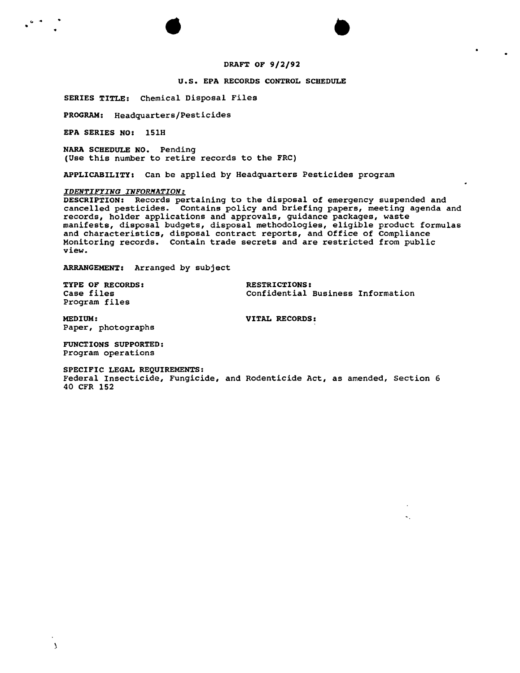### DRAFT OF 9/2/92

#### U.S. EPA RECORDS CONTROL SCHEDULE

SERIES TITLE: Chemical Disposal Files

PROGRAM: Headquarters/Pesticides

EPA SERIES NO: 151H

NARA SCHEDULE NO. Pending (Use this number to retire records to the FRC)

• • .. .. •

APPLICABILITY: Can be applied by Headquarters Pesticides program

#### *IDENTIFYING INFORlfATION:*

DESCRIPTION: Records pertaining to the disposal of emergency suspended and cancelled pesticides. Contains policy and briefing papers, meeting agenda and records, holder applications and approvals, guidance packages, waste manifests, disposal budgets, disposal methodologies, eligible product formulas and characteristics, disposal contract reports, and Office of Complianc Monitoring records. Contain trade secrets and are restricted from  $\text{public}$ view.

ARRANGEMENT: Arranged by subject

TYPE OF RECORDS: TYPE OF RESTRICTIONS:<br>
Case files Confidential Program files

Confidential Business Information

 $\sim$ 

MEDIUM: VITAL RECORDS: Paper, photographs

FUNCTIONS SUPPORTED: Program operations

 $\mathbf{A}$ 

SPECIFIC LEGAL REQUIREMENTS:

Federal Insecticide, Fungicide, and Rodenticide Act, as amended, Section 6 40 CFR 152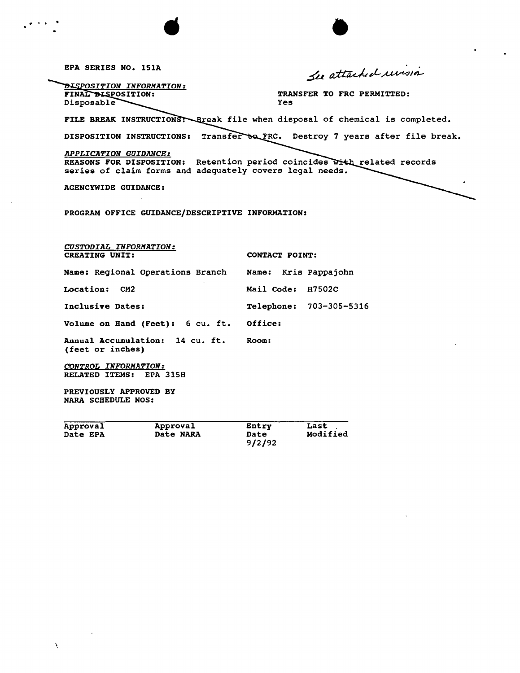EPA SERIES NO. ISlA DISPOSITION INFORMATION: TRANSFER TO FRC PERMITTED: FINAL BISPOSITION: Disposable Yes FILE BREAK INSTRUCTIONS: Break file when disposal of chemical is completed. DISPOSITION INSTRUCTIONS: Transfer to FRC. Destroy 7 years after file break. *APPLICATION GUIDANCE:* REASONS FOR DISPOSITION: Retention period coincides with related records series of claim forms and adequately covers legal needs. AGENCYWIDE GUIDANCE: PROGRAM OFFICE GUIDANCE/DESCRIPTIVE INFORMATION: *CUSTODIAL INFORMATION:* CONTACT POINT: Name: Regional Operations Branch Name: Kris Pappajohn Location: CM2 Mail Code: H7502C Inclusive Dates:  $\begin{array}{ccc} \texttt{Telephone:} & 703-305-5316 \end{array}$ Volume on Hand (Feet): 6 cu. ft. Office:

Annual Accumulation: 14 cu. ft. Room: (feet or inches)

*CONTROL INFORMATION:* RELATED ITEMS: EPA 315H

PREVIOUSLY APPROVED BY NARA SCHEDULE NOS:

| Approval | Approval  | Entry  | Last     |
|----------|-----------|--------|----------|
| Date EPA | Date NARA | Date   | Modified |
|          |           | 9/2/92 |          |

 $\overline{a}$ .  $\overline{a}$ 

# Lee attached unisia

**•**